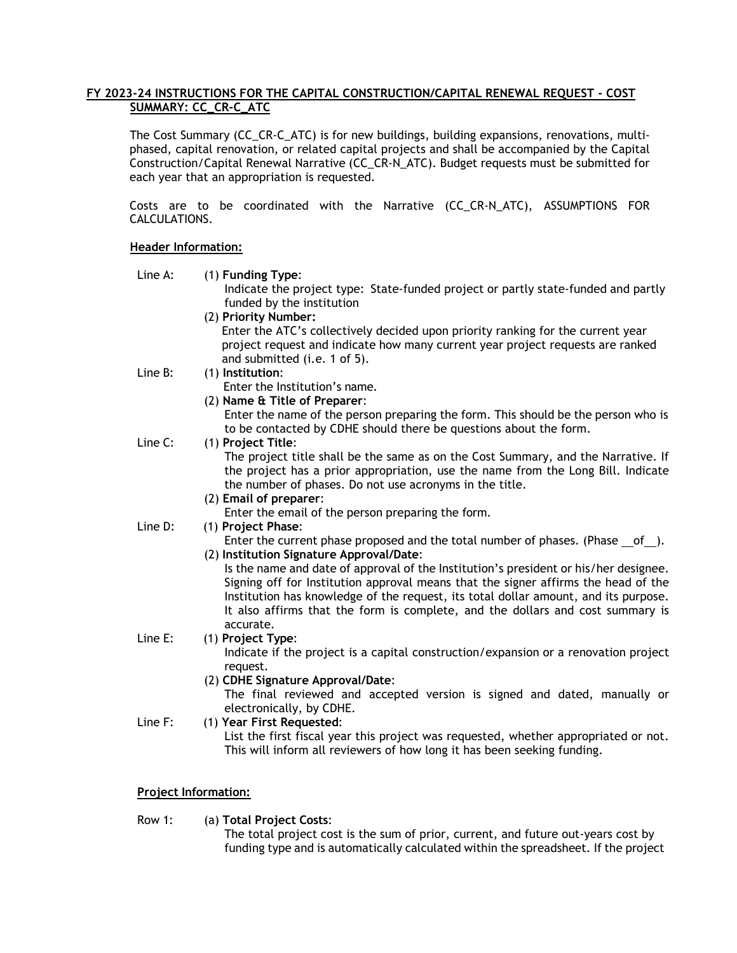# **FY 2023-24 INSTRUCTIONS FOR THE CAPITAL CONSTRUCTION/CAPITAL RENEWAL REQUEST - COST SUMMARY: CC\_CR-C\_ATC**

The Cost Summary (CC\_CR-C\_ATC) is for new buildings, building expansions, renovations, multiphased, capital renovation, or related capital projects and shall be accompanied by the Capital Construction/Capital Renewal Narrative (CC\_CR-N\_ATC). Budget requests must be submitted for each year that an appropriation is requested.

Costs are to be coordinated with the Narrative (CC\_CR-N\_ATC), ASSUMPTIONS FOR CALCULATIONS.

# **Header Information:**

Line A: (1) **Funding Type**:

Indicate the project type: State-funded project or partly state-funded and partly funded by the institution

(2) **Priority Number:**

Enter the ATC's collectively decided upon priority ranking for the current year project request and indicate how many current year project requests are ranked and submitted (i.e. 1 of 5).

Line B: (1) **Institution**:

Enter the Institution's name.

(2) **Name & Title of Preparer**:

Enter the name of the person preparing the form. This should be the person who is to be contacted by CDHE should there be questions about the form.

# Line C: (1) **Project Title**:

The project title shall be the same as on the Cost Summary, and the Narrative. If the project has a prior appropriation, use the name from the Long Bill. Indicate the number of phases. Do not use acronyms in the title.

### (2) **Email of preparer**:

Enter the email of the person preparing the form.

Line D: (1) **Project Phase**:

Enter the current phase proposed and the total number of phases. (Phase of ). (2) **Institution Signature Approval/Date**:

Is the name and date of approval of the Institution's president or his/her designee. Signing off for Institution approval means that the signer affirms the head of the Institution has knowledge of the request, its total dollar amount, and its purpose. It also affirms that the form is complete, and the dollars and cost summary is accurate.

# Line E: (1) **Project Type**:

Indicate if the project is a capital construction/expansion or a renovation project request.

(2) **CDHE Signature Approval/Date**:

The final reviewed and accepted version is signed and dated, manually or electronically, by CDHE.

Line F: (1) **Year First Requested**: List the first fiscal year this project was requested, whether appropriated or not. This will inform all reviewers of how long it has been seeking funding.

# **Project Information:**

Row 1: (a) **Total Project Costs**:

The total project cost is the sum of prior, current, and future out-years cost by funding type and is automatically calculated within the spreadsheet. If the project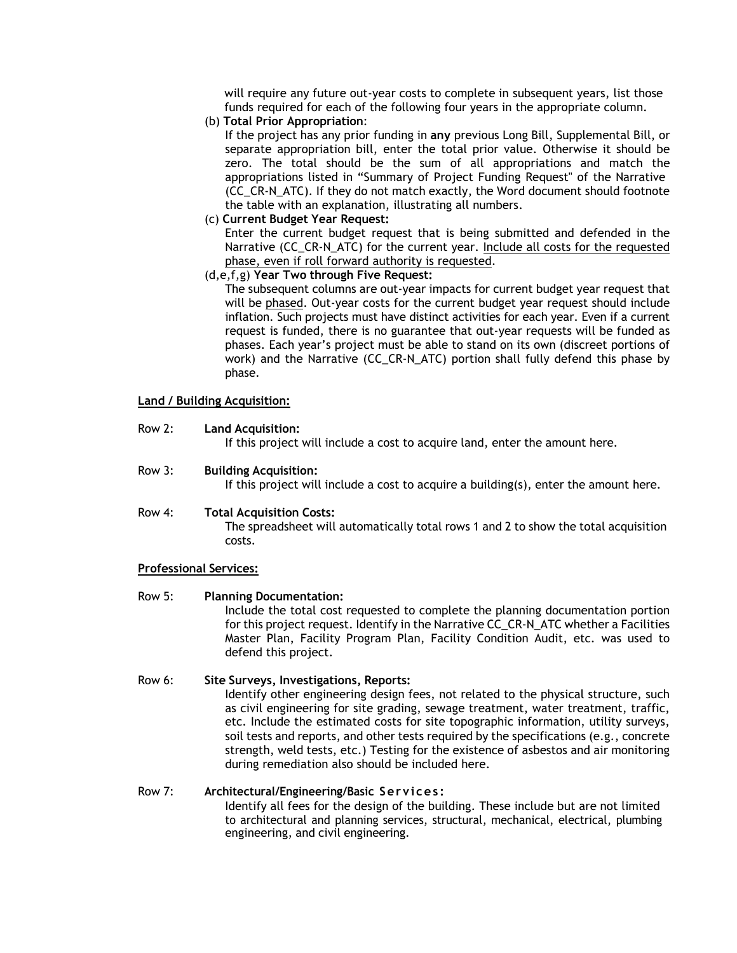will require any future out-year costs to complete in subsequent years, list those funds required for each of the following four years in the appropriate column.

(b) **Total Prior Appropriation**:

If the project has any prior funding in **any** previous Long Bill, Supplemental Bill, or separate appropriation bill, enter the total prior value. Otherwise it should be zero. The total should be the sum of all appropriations and match the appropriations listed in "Summary of Project Funding Request" of the Narrative (CC\_CR-N\_ATC). If they do not match exactly, the Word document should footnote the table with an explanation, illustrating all numbers.

(c) **Current Budget Year Request:**

Enter the current budget request that is being submitted and defended in the Narrative (CC\_CR-N\_ATC) for the current year. Include all costs for the requested phase, even if roll forward authority is requested.

# (d,e,f,g) **Year Two through Five Request:**

The subsequent columns are out-year impacts for current budget year request that will be phased. Out-year costs for the current budget year request should include inflation. Such projects must have distinct activities for each year. Even if a current request is funded, there is no guarantee that out-year requests will be funded as phases. Each year's project must be able to stand on its own (discreet portions of work) and the Narrative (CC\_CR-N\_ATC) portion shall fully defend this phase by phase.

# **Land / Building Acquisition:**

Row 2: **Land Acquisition:**

If this project will include a cost to acquire land, enter the amount here.

Row 3: **Building Acquisition:**

If this project will include a cost to acquire a building(s), enter the amount here.

### Row 4: **Total Acquisition Costs:**

The spreadsheet will automatically total rows 1 and 2 to show the total acquisition costs.

# **Professional Services:**

Row 5: **Planning Documentation:**

Include the total cost requested to complete the planning documentation portion for this project request. Identify in the Narrative CC\_CR-N\_ATC whether a Facilities Master Plan, Facility Program Plan, Facility Condition Audit, etc. was used to defend this project.

### Row 6: **Site Surveys, Investigations, Reports:**

Identify other engineering design fees, not related to the physical structure, such as civil engineering for site grading, sewage treatment, water treatment, traffic, etc. Include the estimated costs for site topographic information, utility surveys, soil tests and reports, and other tests required by the specifications (e.g., concrete strength, weld tests, etc.) Testing for the existence of asbestos and air monitoring during remediation also should be included here.

### Row 7: **Architectural/Engineering/Basic Services :**

Identify all fees for the design of the building. These include but are not limited to architectural and planning services, structural, mechanical, electrical, plumbing engineering, and civil engineering.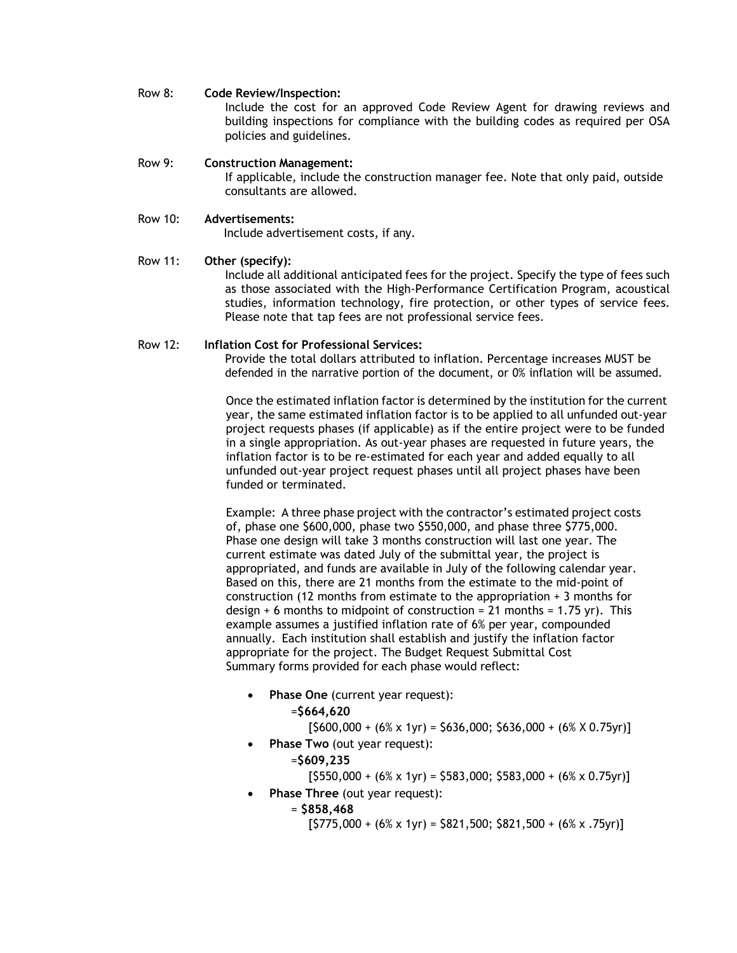### Row 8: **Code Review/Inspection:**

Include the cost for an approved Code Review Agent for drawing reviews and building inspections for compliance with the building codes as required per OSA policies and guidelines.

### Row 9: **Construction Management:**

If applicable, include the construction manager fee. Note that only paid, outside consultants are allowed.

# Row 10: **Advertisements:**

Include advertisement costs, if any.

# Row 11: **Other (specify):**

Include all additional anticipated fees for the project. Specify the type of fees such as those associated with the High-Performance Certification Program, acoustical studies, information technology, fire protection, or other types of service fees. Please note that tap fees are not professional service fees.

# Row 12: **Inflation Cost for Professional Services:**

Provide the total dollars attributed to inflation. Percentage increases MUST be defended in the narrative portion of the document, or 0% inflation will be assumed.

Once the estimated inflation factor is determined by the institution for the current year, the same estimated inflation factor is to be applied to all unfunded out-year project requests phases (if applicable) as if the entire project were to be funded in a single appropriation. As out-year phases are requested in future years, the inflation factor is to be re-estimated for each year and added equally to all unfunded out-year project request phases until all project phases have been funded or terminated.

Example: A three phase project with the contractor's estimated project costs of, phase one \$600,000, phase two \$550,000, and phase three \$775,000. Phase one design will take 3 months construction will last one year. The current estimate was dated July of the submittal year, the project is appropriated, and funds are available in July of the following calendar year. Based on this, there are 21 months from the estimate to the mid-point of construction (12 months from estimate to the appropriation + 3 months for design  $+$  6 months to midpoint of construction = 21 months = 1.75 yr). This example assumes a justified inflation rate of 6% per year, compounded annually. Each institution shall establish and justify the inflation factor appropriate for the project. The Budget Request Submittal Cost Summary forms provided for each phase would reflect:

• **Phase One** (current year request):

=**\$664,620**

 $[$600,000 + (6% \times 1yr) = $636,000; $636,000 + (6% \times 0.75yr)]$ 

• **Phase Two** (out year request):

=**\$609,235**

 $[5550,000 + (6% \times 1yr) = 5583,000; 5583,000 + (6% \times 0.75yr)]$ 

- **Phase Three** (out year request):
	- = **\$858,468**

 $[5775,000 + (6\% \times 1\text{yr}) = 5821,500; 5821,500 + (6\% \times .75\text{yr})]$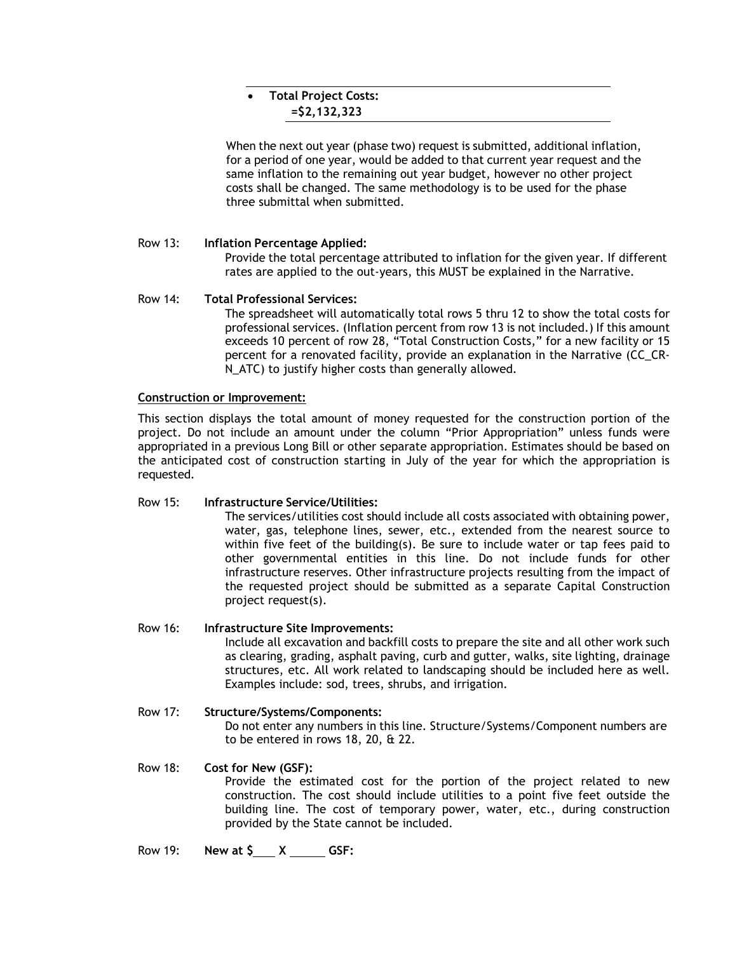# • **Total Project Costs: =\$2,132,323**

When the next out year (phase two) request is submitted, additional inflation, for a period of one year, would be added to that current year request and the same inflation to the remaining out year budget, however no other project costs shall be changed. The same methodology is to be used for the phase three submittal when submitted.

# Row 13: **Inflation Percentage Applied:**

Provide the total percentage attributed to inflation for the given year. If different rates are applied to the out-years, this MUST be explained in the Narrative.

# Row 14: **Total Professional Services:**

The spreadsheet will automatically total rows 5 thru 12 to show the total costs for professional services. (Inflation percent from row 13 is not included.) If this amount exceeds 10 percent of row 28, "Total Construction Costs," for a new facility or 15 percent for a renovated facility, provide an explanation in the Narrative (CC\_CR-N\_ATC) to justify higher costs than generally allowed.

# **Construction or Improvement:**

This section displays the total amount of money requested for the construction portion of the project. Do not include an amount under the column "Prior Appropriation" unless funds were appropriated in a previous Long Bill or other separate appropriation. Estimates should be based on the anticipated cost of construction starting in July of the year for which the appropriation is requested.

# Row 15: **Infrastructure Service/Utilities:**

The services/utilities cost should include all costs associated with obtaining power, water, gas, telephone lines, sewer, etc., extended from the nearest source to within five feet of the building(s). Be sure to include water or tap fees paid to other governmental entities in this line. Do not include funds for other infrastructure reserves. Other infrastructure projects resulting from the impact of the requested project should be submitted as a separate Capital Construction project request(s).

# Row 16: **Infrastructure Site Improvements:**

Include all excavation and backfill costs to prepare the site and all other work such as clearing, grading, asphalt paving, curb and gutter, walks, site lighting, drainage structures, etc. All work related to landscaping should be included here as well. Examples include: sod, trees, shrubs, and irrigation.

# Row 17: **Structure/Systems/Components:** Do not enter any numbers in this line. Structure/Systems/Component numbers are to be entered in rows 18, 20, & 22.

### Row 18: **Cost for New (GSF):** Provide the estimated cost for the portion of the project related to new construction. The cost should include utilities to a point five feet outside the building line. The cost of temporary power, water, etc., during construction provided by the State cannot be included.

# Row 19: **New at \$ X GSF:**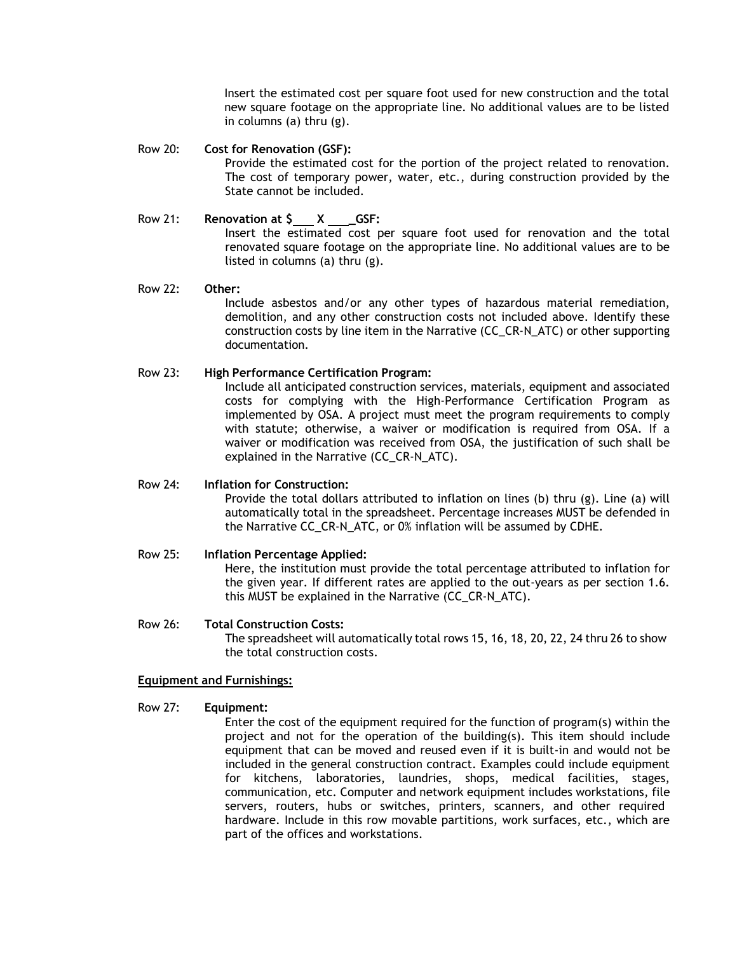Insert the estimated cost per square foot used for new construction and the total new square footage on the appropriate line. No additional values are to be listed in columns (a) thru (g).

## Row 20: **Cost for Renovation (GSF):**

Provide the estimated cost for the portion of the project related to renovation. The cost of temporary power, water, etc., during construction provided by the State cannot be included.

# Row 21: **Renovation at \$ X \_GSF:** Insert the estimated cost per square foot used for renovation and the total renovated square footage on the appropriate line. No additional values are to be listed in columns (a) thru (g).

# Row 22: **Other:**

Include asbestos and/or any other types of hazardous material remediation, demolition, and any other construction costs not included above. Identify these construction costs by line item in the Narrative (CC\_CR-N\_ATC) or other supporting documentation.

# Row 23: **High Performance Certification Program:**

Include all anticipated construction services, materials, equipment and associated costs for complying with the High-Performance Certification Program as implemented by OSA. A project must meet the program requirements to comply with statute; otherwise, a waiver or modification is required from OSA. If a waiver or modification was received from OSA, the justification of such shall be explained in the Narrative (CC\_CR-N\_ATC).

### Row 24: **Inflation for Construction:**

Provide the total dollars attributed to inflation on lines (b) thru (g). Line (a) will automatically total in the spreadsheet. Percentage increases MUST be defended in the Narrative CC\_CR-N\_ATC, or 0% inflation will be assumed by CDHE.

# Row 25: **Inflation Percentage Applied:**

Here, the institution must provide the total percentage attributed to inflation for the given year. If different rates are applied to the out-years as per section 1.6. this MUST be explained in the Narrative (CC\_CR-N\_ATC).

### Row 26: **Total Construction Costs:**

The spreadsheet will automatically total rows 15, 16, 18, 20, 22, 24 thru 26 to show the total construction costs.

### **Equipment and Furnishings:**

### Row 27: **Equipment:**

Enter the cost of the equipment required for the function of program(s) within the project and not for the operation of the building(s). This item should include equipment that can be moved and reused even if it is built-in and would not be included in the general construction contract. Examples could include equipment for kitchens, laboratories, laundries, shops, medical facilities, stages, communication, etc. Computer and network equipment includes workstations, file servers, routers, hubs or switches, printers, scanners, and other required hardware. Include in this row movable partitions, work surfaces, etc., which are part of the offices and workstations.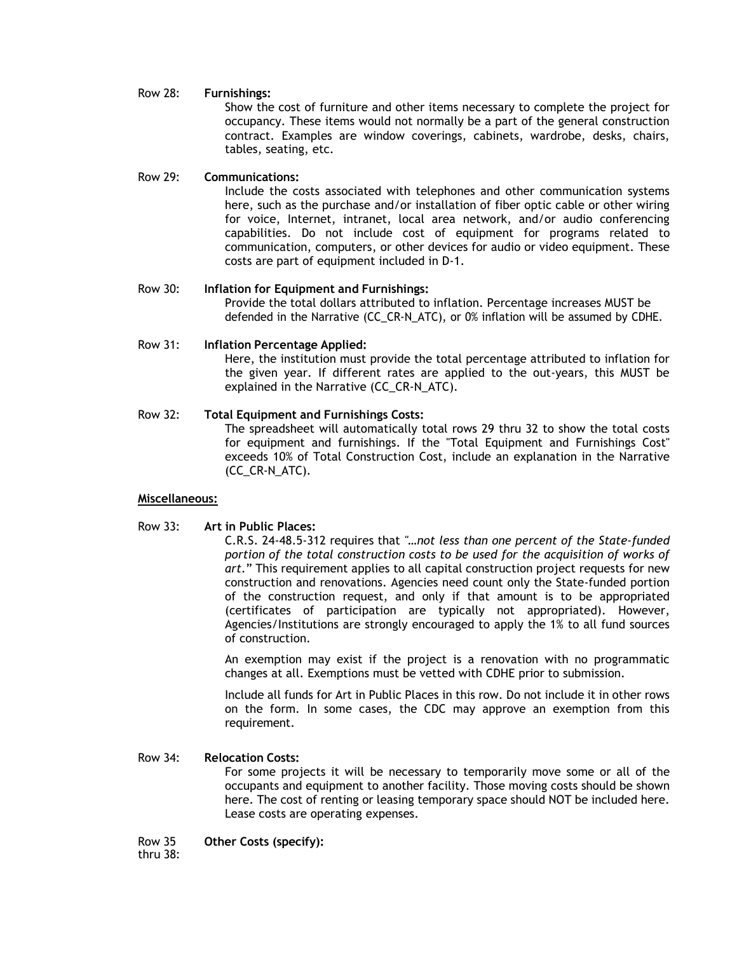## Row 28: **Furnishings:**

Show the cost of furniture and other items necessary to complete the project for occupancy. These items would not normally be a part of the general construction contract. Examples are window coverings, cabinets, wardrobe, desks, chairs, tables, seating, etc.

### Row 29: **Communications:**

Include the costs associated with telephones and other communication systems here, such as the purchase and/or installation of fiber optic cable or other wiring for voice, Internet, intranet, local area network, and/or audio conferencing capabilities. Do not include cost of equipment for programs related to communication, computers, or other devices for audio or video equipment. These costs are part of equipment included in D-1.

### Row 30: **Inflation for Equipment and Furnishings:**

Provide the total dollars attributed to inflation. Percentage increases MUST be defended in the Narrative (CC\_CR-N\_ATC), or 0% inflation will be assumed by CDHE.

### Row 31: **Inflation Percentage Applied:**

Here, the institution must provide the total percentage attributed to inflation for the given year. If different rates are applied to the out-years, this MUST be explained in the Narrative (CC\_CR-N\_ATC).

# Row 32: **Total Equipment and Furnishings Costs:**

The spreadsheet will automatically total rows 29 thru 32 to show the total costs for equipment and furnishings. If the "Total Equipment and Furnishings Cost" exceeds 10% of Total Construction Cost, include an explanation in the Narrative (CC\_CR-N\_ATC).

### **Miscellaneous:**

### Row 33: **Art in Public Places:**

C.R.S. 24-48.5-312 requires that *"…not less than one percent of the State-funded*  portion of the total construction costs to be used for the acquisition of works of *art*." This requirement applies to all capital construction project requests for new construction and renovations. Agencies need count only the State-funded portion of the construction request, and only if that amount is to be appropriated (certificates of participation are typically not appropriated). However, Agencies/Institutions are strongly encouraged to apply the 1% to all fund sources of construction.

An exemption may exist if the project is a renovation with no programmatic changes at all. Exemptions must be vetted with CDHE prior to submission.

Include all funds for Art in Public Places in this row. Do not include it in other rows on the form. In some cases, the CDC may approve an exemption from this requirement.

### Row 34: **Relocation Costs:**

For some projects it will be necessary to temporarily move some or all of the occupants and equipment to another facility. Those moving costs should be shown here. The cost of renting or leasing temporary space should NOT be included here. Lease costs are operating expenses.

Row 35 **Other Costs (specify):**

thru 38: